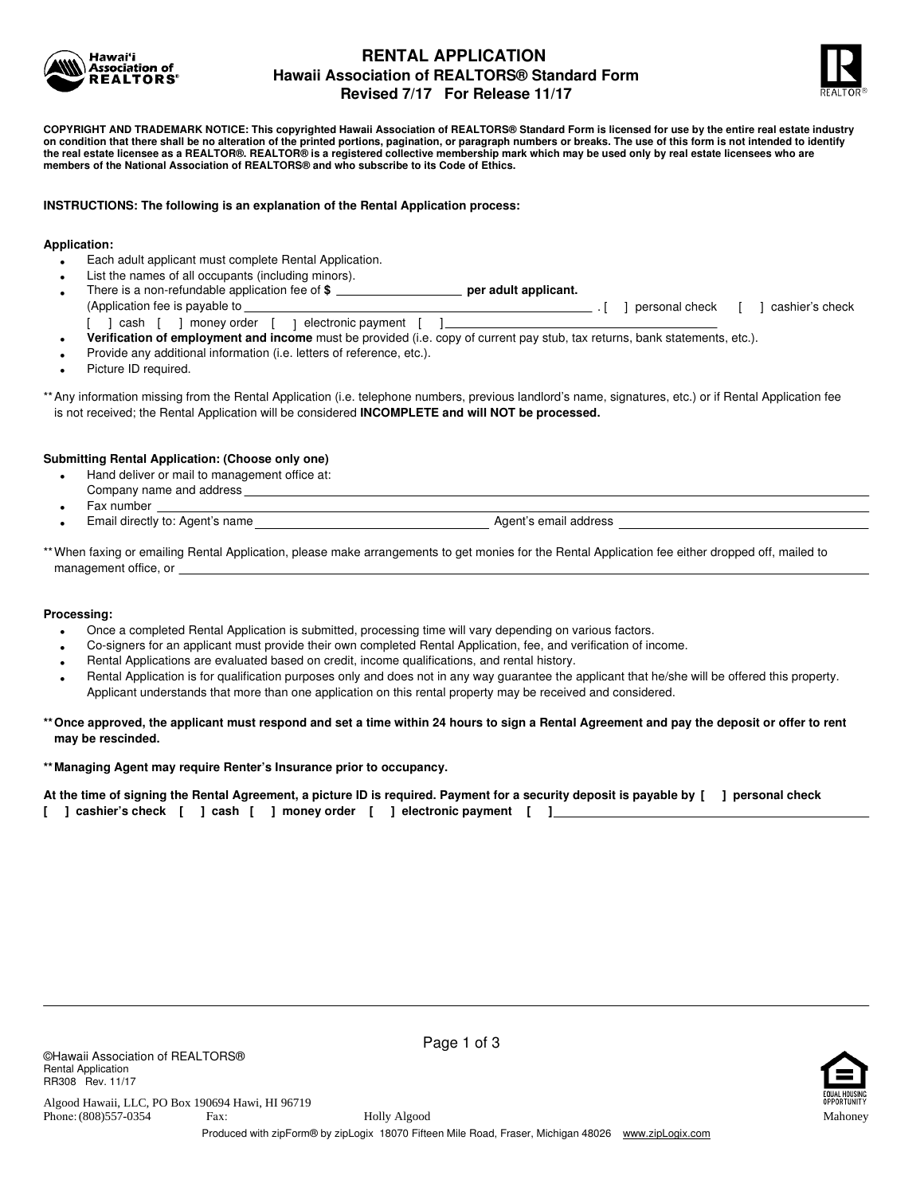

# **RENTAL APPLICATION Hawaii Association of REALTORS® Standard Form Revised 7/17 For Release 11/17**



**COPYRIGHT AND TRADEMARK NOTICE: This copyrighted Hawaii Association of REALTORS® Standard Form is licensed for use by the entire real estate industry on condition that there shall be no alteration of the printed portions, pagination, or paragraph numbers or breaks. The use of this form is not intended to identify the real estate licensee as a REALTOR®. REALTOR® is a registered collective membership mark which may be used only by real estate licensees who are members of the National Association of REALTORS® and who subscribe to its Code of Ethics.**

## **INSTRUCTIONS: The following is an explanation of the Rental Application process:**

## **Application:**

- **•** Each adult applicant must complete Rental Application.
- **•** List the names of all occupants (including minors).
- **•** There is a non-refundable application fee of \$ **performally** per adult applicant. (Application fee is payable to . [ personal check ] [ ] cashier's check [ ] cash [ ] money order [ ] electronic payment [ ]\_\_\_
	- **• Verification of employment and income** must be provided (i.e. copy of current pay stub, tax returns, bank statements, etc.).
- **•** Provide any additional information (i.e. letters of reference, etc.).
- **•** Picture ID required.

\*\*Any information missing from the Rental Application (i.e. telephone numbers, previous landlord's name, signatures, etc.) or if Rental Application fee is not received; the Rental Application will be considered **INCOMPLETE and will NOT be processed.**

### **Submitting Rental Application: (Choose only one)**

- **•** Hand deliver or mail to management office at:
- Company name and address
- **•** Fax number
- **Finall directly to: Agent's name Agent's email address**

\*\* When faxing or emailing Rental Application, please make arrangements to get monies for the Rental Application fee either dropped off, mailed to management office, or

#### **Processing:**

- **•** Once a completed Rental Application is submitted, processing time will vary depending on various factors.
- **•** Co-signers for an applicant must provide their own completed Rental Application, fee, and verification of income.
- Rental Applications are evaluated based on credit, income qualifications, and rental history. **•**
- **•** Rental Application is for qualification purposes only and does not in any way guarantee the applicant that he/she will be offered this property. Applicant understands that more than one application on this rental property may be received and considered.

## **\*\*Once approved, the applicant must respond and set a time within 24 hours to sign a Rental Agreement and pay the deposit or offer to rent may be rescinded.**

## **\*\*Managing Agent may require Renter's Insurance prior to occupancy.**

**At the time of signing the Rental Agreement, a picture ID is required. Payment for a security deposit is payable by [ ] personal check [ ] cashier's check [ ] cash [ ] money order [ ] electronic payment [ ]**

Page 1 of 3



Phone: (808)557-0354 Fax: Produced with zipForm® by zipLogix 18070 Fifteen Mile Road, Fraser, Michigan 48026 www.zipLogix.com (808)557-0354 Holly Algood Mahoney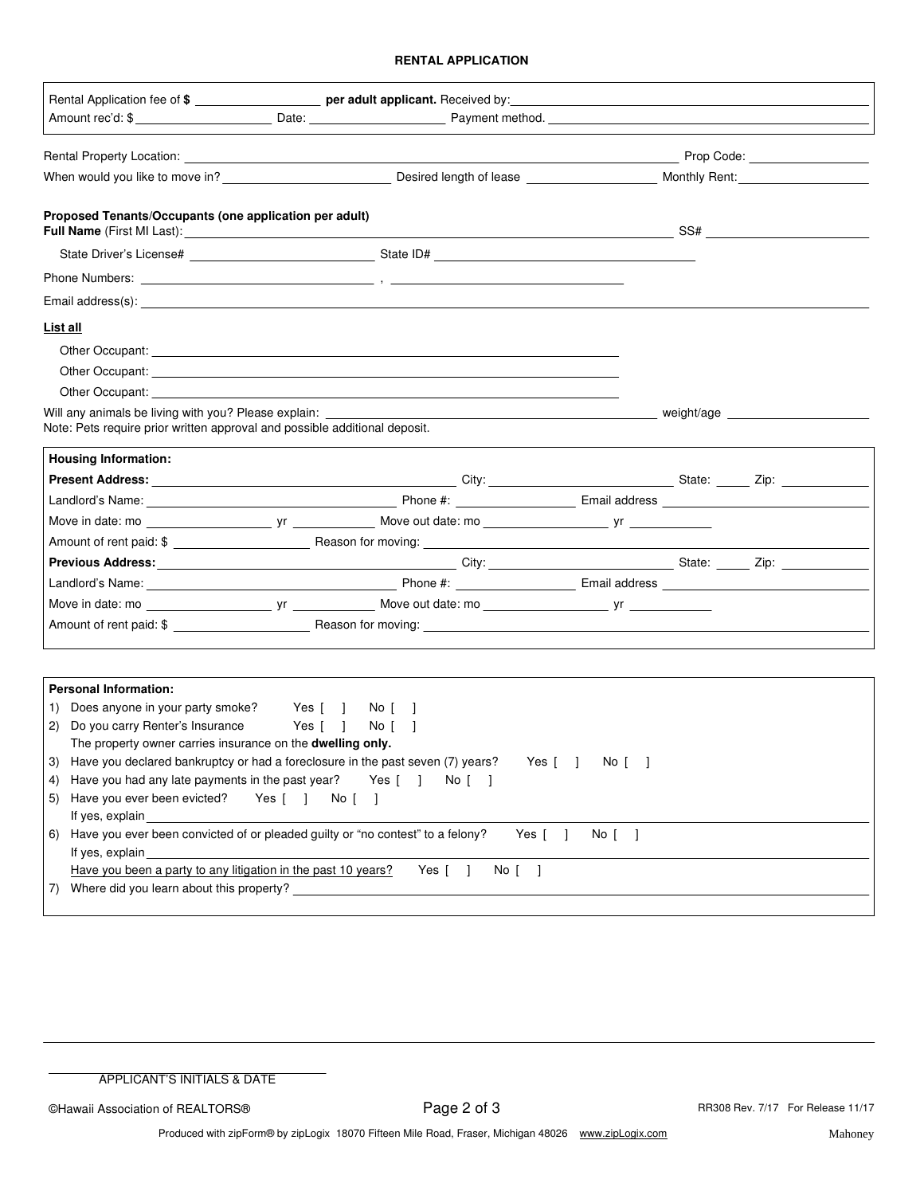## **RENTAL APPLICATION**

|                                                                                                                                                                                                                                |                                                                                                                                                                                                                                      |                       | Prop Code: <u>__________________</u> |
|--------------------------------------------------------------------------------------------------------------------------------------------------------------------------------------------------------------------------------|--------------------------------------------------------------------------------------------------------------------------------------------------------------------------------------------------------------------------------------|-----------------------|--------------------------------------|
|                                                                                                                                                                                                                                |                                                                                                                                                                                                                                      |                       |                                      |
| Proposed Tenants/Occupants (one application per adult)                                                                                                                                                                         |                                                                                                                                                                                                                                      |                       |                                      |
|                                                                                                                                                                                                                                |                                                                                                                                                                                                                                      |                       |                                      |
|                                                                                                                                                                                                                                |                                                                                                                                                                                                                                      |                       |                                      |
|                                                                                                                                                                                                                                |                                                                                                                                                                                                                                      |                       |                                      |
| List all                                                                                                                                                                                                                       |                                                                                                                                                                                                                                      |                       |                                      |
|                                                                                                                                                                                                                                | Other Occupant: <u>example and the contract of the contract of the contract of the contract of the contract of the contract of the contract of the contract of the contract of the contract of the contract of the contract of t</u> |                       |                                      |
|                                                                                                                                                                                                                                | Other Occupant: the contract of the contract of the contract of the contract of the contract of the contract of the contract of the contract of the contract of the contract of the contract of the contract of the contract o       |                       |                                      |
| Other Occupant: New York Contract of the Contract of the Contract of the Contract of the Contract of the Contract of the Contract of the Contract of the Contract of the Contract of the Contract of the Contract of the Contr |                                                                                                                                                                                                                                      |                       |                                      |
| Will any animals be living with you? Please explain:<br>Note: Pets require prior written approval and possible additional deposit.                                                                                             |                                                                                                                                                                                                                                      |                       |                                      |
| <b>Housing Information:</b>                                                                                                                                                                                                    |                                                                                                                                                                                                                                      |                       |                                      |
|                                                                                                                                                                                                                                |                                                                                                                                                                                                                                      |                       |                                      |
|                                                                                                                                                                                                                                | Landlord's Name: Contract Contract Contract Contract Contract Contract Contract Contract Contract Contract Contract Contract Contract Contract Contract Contract Contract Contract Contract Contract Contract Contract Contrac       |                       |                                      |
|                                                                                                                                                                                                                                |                                                                                                                                                                                                                                      |                       |                                      |
|                                                                                                                                                                                                                                |                                                                                                                                                                                                                                      |                       |                                      |
|                                                                                                                                                                                                                                |                                                                                                                                                                                                                                      |                       |                                      |
|                                                                                                                                                                                                                                |                                                                                                                                                                                                                                      |                       |                                      |
|                                                                                                                                                                                                                                |                                                                                                                                                                                                                                      |                       |                                      |
|                                                                                                                                                                                                                                |                                                                                                                                                                                                                                      |                       |                                      |
| <b>Personal Information:</b>                                                                                                                                                                                                   |                                                                                                                                                                                                                                      |                       |                                      |
| Does anyone in your party smoke? Yes [ ]<br>1)                                                                                                                                                                                 | No [                                                                                                                                                                                                                                 |                       |                                      |
| Do you carry Renter's Insurance<br>2)                                                                                                                                                                                          | Yes [ ]<br>No [                                                                                                                                                                                                                      |                       |                                      |
| The property owner carries insurance on the dwelling only.                                                                                                                                                                     |                                                                                                                                                                                                                                      |                       |                                      |
| Have you declared bankruptcy or had a foreclosure in the past seven (7) years?<br>3)                                                                                                                                           |                                                                                                                                                                                                                                      | Yes $[ \ ]$<br>No [ ] |                                      |
| Have you had any late payments in the past year?<br>4)                                                                                                                                                                         | $No$ $\vert$ $\vert$<br>Yes [ ]                                                                                                                                                                                                      |                       |                                      |
| Have you ever been evicted?<br>Yes [ ]<br>5)                                                                                                                                                                                   | No [ ]                                                                                                                                                                                                                               |                       |                                      |
| If yes, explain substantial and the state of the state of the state of the state of the state of the state of the state of the state of the state of the state of the state of the state of the state of the state of the stat |                                                                                                                                                                                                                                      |                       |                                      |
| Have you ever been convicted of or pleaded guilty or "no contest" to a felony?<br>6)<br>lf yes, explain                                                                                                                        | Yes [                                                                                                                                                                                                                                | $No$ $\vert$ $\vert$  |                                      |
| Have you been a party to any litigation in the past 10 years?                                                                                                                                                                  | Yes $\begin{bmatrix} \end{bmatrix}$<br>$No$ $\vert$ $\vert$                                                                                                                                                                          |                       |                                      |
|                                                                                                                                                                                                                                |                                                                                                                                                                                                                                      |                       |                                      |

©Hawaii Association of REALTORS® **Page 2 of 3** RR308 Rev. 7/17 For Release 11/17